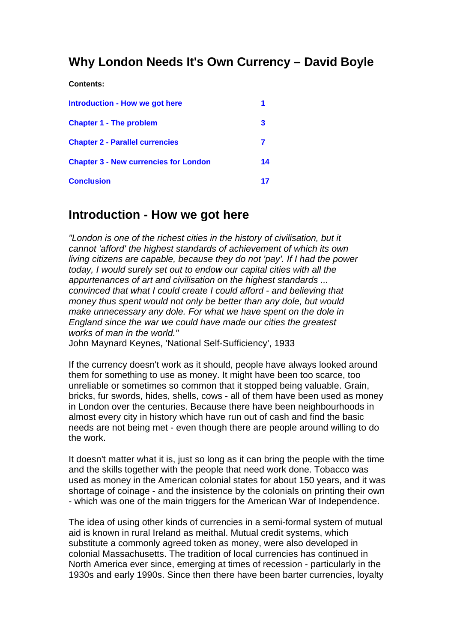## **Why London Needs It's Own Currency – David Boyle**

**Contents:**

| <b>Introduction - How we got here</b>        |    |
|----------------------------------------------|----|
| <b>Chapter 1 - The problem</b>               | 3  |
| <b>Chapter 2 - Parallel currencies</b>       |    |
| <b>Chapter 3 - New currencies for London</b> | 14 |
| <b>Conclusion</b>                            |    |

### **Introduction - How we got here**

*"London is one of the richest cities in the history of civilisation, but it cannot 'afford' the highest standards of achievement of which its own living citizens are capable, because they do not 'pay'. If I had the power today, I would surely set out to endow our capital cities with all the appurtenances of art and civilisation on the highest standards ... convinced that what I could create I could afford - and believing that money thus spent would not only be better than any dole, but would make unnecessary any dole. For what we have spent on the dole in England since the war we could have made our cities the greatest works of man in the world."*

John Maynard Keynes, 'National Self-Sufficiency', 1933

If the currency doesn't work as it should, people have always looked around them for something to use as money. It might have been too scarce, too unreliable or sometimes so common that it stopped being valuable. Grain, bricks, fur swords, hides, shells, cows - all of them have been used as money in London over the centuries. Because there have been neighbourhoods in almost every city in history which have run out of cash and find the basic needs are not being met - even though there are people around willing to do the work.

It doesn't matter what it is, just so long as it can bring the people with the time and the skills together with the people that need work done. Tobacco was used as money in the American colonial states for about 150 years, and it was shortage of coinage - and the insistence by the colonials on printing their own - which was one of the main triggers for the American War of Independence.

The idea of using other kinds of currencies in a semi-formal system of mutual aid is known in rural Ireland as meithal. Mutual credit systems, which substitute a commonly agreed token as money, were also developed in colonial Massachusetts. The tradition of local currencies has continued in North America ever since, emerging at times of recession - particularly in the 1930s and early 1990s. Since then there have been barter currencies, loyalty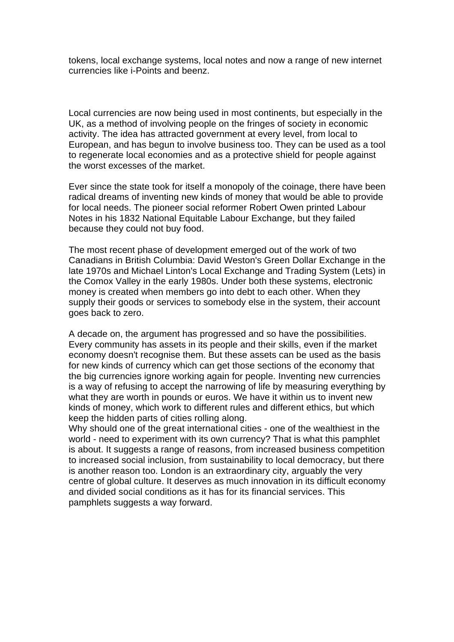tokens, local exchange systems, local notes and now a range of new internet currencies like i-Points and beenz.

Local currencies are now being used in most continents, but especially in the UK, as a method of involving people on the fringes of society in economic activity. The idea has attracted government at every level, from local to European, and has begun to involve business too. They can be used as a tool to regenerate local economies and as a protective shield for people against the worst excesses of the market.

Ever since the state took for itself a monopoly of the coinage, there have been radical dreams of inventing new kinds of money that would be able to provide for local needs. The pioneer social reformer Robert Owen printed Labour Notes in his 1832 National Equitable Labour Exchange, but they failed because they could not buy food.

The most recent phase of development emerged out of the work of two Canadians in British Columbia: David Weston's Green Dollar Exchange in the late 1970s and Michael Linton's Local Exchange and Trading System (Lets) in the Comox Valley in the early 1980s. Under both these systems, electronic money is created when members go into debt to each other. When they supply their goods or services to somebody else in the system, their account goes back to zero.

A decade on, the argument has progressed and so have the possibilities. Every community has assets in its people and their skills, even if the market economy doesn't recognise them. But these assets can be used as the basis for new kinds of currency which can get those sections of the economy that the big currencies ignore working again for people. Inventing new currencies is a way of refusing to accept the narrowing of life by measuring everything by what they are worth in pounds or euros. We have it within us to invent new kinds of money, which work to different rules and different ethics, but which keep the hidden parts of cities rolling along.

Why should one of the great international cities - one of the wealthiest in the world - need to experiment with its own currency? That is what this pamphlet is about. It suggests a range of reasons, from increased business competition to increased social inclusion, from sustainability to local democracy, but there is another reason too. London is an extraordinary city, arguably the very centre of global culture. It deserves as much innovation in its difficult economy and divided social conditions as it has for its financial services. This pamphlets suggests a way forward.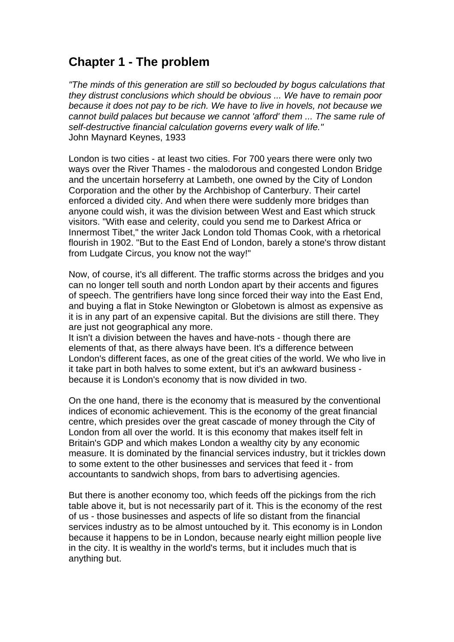# **Chapter 1 - The problem**

*"The minds of this generation are still so beclouded by bogus calculations that they distrust conclusions which should be obvious ... We have to remain poor because it does not pay to be rich. We have to live in hovels, not because we cannot build palaces but because we cannot 'afford' them ... The same rule of self-destructive financial calculation governs every walk of life."* John Maynard Keynes, 1933

London is two cities - at least two cities. For 700 years there were only two ways over the River Thames - the malodorous and congested London Bridge and the uncertain horseferry at Lambeth, one owned by the City of London Corporation and the other by the Archbishop of Canterbury. Their cartel enforced a divided city. And when there were suddenly more bridges than anyone could wish, it was the division between West and East which struck visitors. "With ease and celerity, could you send me to Darkest Africa or Innermost Tibet," the writer Jack London told Thomas Cook, with a rhetorical flourish in 1902. "But to the East End of London, barely a stone's throw distant from Ludgate Circus, you know not the way!"

Now, of course, it's all different. The traffic storms across the bridges and you can no longer tell south and north London apart by their accents and figures of speech. The gentrifiers have long since forced their way into the East End, and buying a flat in Stoke Newington or Globetown is almost as expensive as it is in any part of an expensive capital. But the divisions are still there. They are just not geographical any more.

It isn't a division between the haves and have-nots - though there are elements of that, as there always have been. It's a difference between London's different faces, as one of the great cities of the world. We who live in it take part in both halves to some extent, but it's an awkward business because it is London's economy that is now divided in two.

On the one hand, there is the economy that is measured by the conventional indices of economic achievement. This is the economy of the great financial centre, which presides over the great cascade of money through the City of London from all over the world. It is this economy that makes itself felt in Britain's GDP and which makes London a wealthy city by any economic measure. It is dominated by the financial services industry, but it trickles down to some extent to the other businesses and services that feed it - from accountants to sandwich shops, from bars to advertising agencies.

But there is another economy too, which feeds off the pickings from the rich table above it, but is not necessarily part of it. This is the economy of the rest of us - those businesses and aspects of life so distant from the financial services industry as to be almost untouched by it. This economy is in London because it happens to be in London, because nearly eight million people live in the city. It is wealthy in the world's terms, but it includes much that is anything but.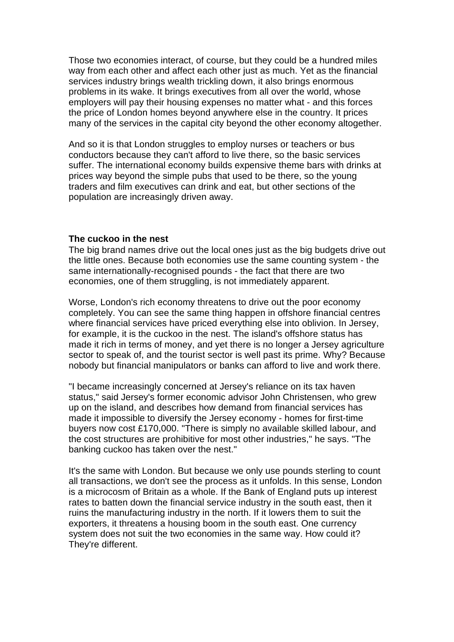Those two economies interact, of course, but they could be a hundred miles way from each other and affect each other just as much. Yet as the financial services industry brings wealth trickling down, it also brings enormous problems in its wake. It brings executives from all over the world, whose employers will pay their housing expenses no matter what - and this forces the price of London homes beyond anywhere else in the country. It prices many of the services in the capital city beyond the other economy altogether.

And so it is that London struggles to employ nurses or teachers or bus conductors because they can't afford to live there, so the basic services suffer. The international economy builds expensive theme bars with drinks at prices way beyond the simple pubs that used to be there, so the young traders and film executives can drink and eat, but other sections of the population are increasingly driven away.

#### **The cuckoo in the nest**

The big brand names drive out the local ones just as the big budgets drive out the little ones. Because both economies use the same counting system - the same internationally-recognised pounds - the fact that there are two economies, one of them struggling, is not immediately apparent.

Worse, London's rich economy threatens to drive out the poor economy completely. You can see the same thing happen in offshore financial centres where financial services have priced everything else into oblivion. In Jersey, for example, it is the cuckoo in the nest. The island's offshore status has made it rich in terms of money, and yet there is no longer a Jersey agriculture sector to speak of, and the tourist sector is well past its prime. Why? Because nobody but financial manipulators or banks can afford to live and work there.

"I became increasingly concerned at Jersey's reliance on its tax haven status," said Jersey's former economic advisor John Christensen, who grew up on the island, and describes how demand from financial services has made it impossible to diversify the Jersey economy - homes for first-time buyers now cost £170,000. "There is simply no available skilled labour, and the cost structures are prohibitive for most other industries," he says. "The banking cuckoo has taken over the nest."

It's the same with London. But because we only use pounds sterling to count all transactions, we don't see the process as it unfolds. In this sense, London is a microcosm of Britain as a whole. If the Bank of England puts up interest rates to batten down the financial service industry in the south east, then it ruins the manufacturing industry in the north. If it lowers them to suit the exporters, it threatens a housing boom in the south east. One currency system does not suit the two economies in the same way. How could it? They're different.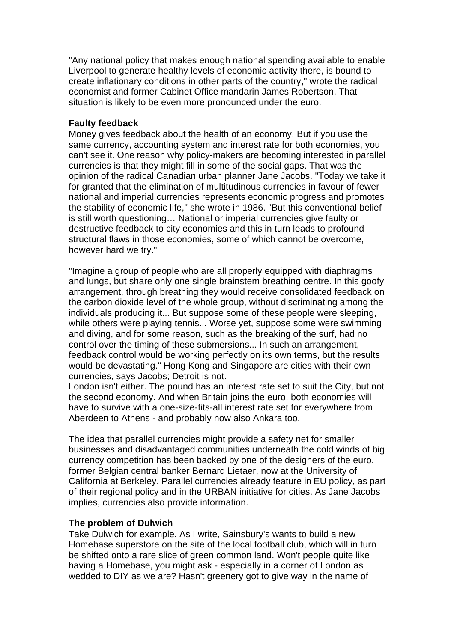"Any national policy that makes enough national spending available to enable Liverpool to generate healthy levels of economic activity there, is bound to create inflationary conditions in other parts of the country," wrote the radical economist and former Cabinet Office mandarin James Robertson. That situation is likely to be even more pronounced under the euro.

#### **Faulty feedback**

Money gives feedback about the health of an economy. But if you use the same currency, accounting system and interest rate for both economies, you can't see it. One reason why policy-makers are becoming interested in parallel currencies is that they might fill in some of the social gaps. That was the opinion of the radical Canadian urban planner Jane Jacobs. "Today we take it for granted that the elimination of multitudinous currencies in favour of fewer national and imperial currencies represents economic progress and promotes the stability of economic life," she wrote in 1986. "But this conventional belief is still worth questioning… National or imperial currencies give faulty or destructive feedback to city economies and this in turn leads to profound structural flaws in those economies, some of which cannot be overcome, however hard we try."

"Imagine a group of people who are all properly equipped with diaphragms and lungs, but share only one single brainstem breathing centre. In this goofy arrangement, through breathing they would receive consolidated feedback on the carbon dioxide level of the whole group, without discriminating among the individuals producing it... But suppose some of these people were sleeping, while others were playing tennis... Worse yet, suppose some were swimming and diving, and for some reason, such as the breaking of the surf, had no control over the timing of these submersions... In such an arrangement, feedback control would be working perfectly on its own terms, but the results would be devastating." Hong Kong and Singapore are cities with their own currencies, says Jacobs; Detroit is not.

London isn't either. The pound has an interest rate set to suit the City, but not the second economy. And when Britain joins the euro, both economies will have to survive with a one-size-fits-all interest rate set for everywhere from Aberdeen to Athens - and probably now also Ankara too.

The idea that parallel currencies might provide a safety net for smaller businesses and disadvantaged communities underneath the cold winds of big currency competition has been backed by one of the designers of the euro, former Belgian central banker Bernard Lietaer, now at the University of California at Berkeley. Parallel currencies already feature in EU policy, as part of their regional policy and in the URBAN initiative for cities. As Jane Jacobs implies, currencies also provide information.

#### **The problem of Dulwich**

Take Dulwich for example. As I write, Sainsbury's wants to build a new Homebase superstore on the site of the local football club, which will in turn be shifted onto a rare slice of green common land. Won't people quite like having a Homebase, you might ask - especially in a corner of London as wedded to DIY as we are? Hasn't greenery got to give way in the name of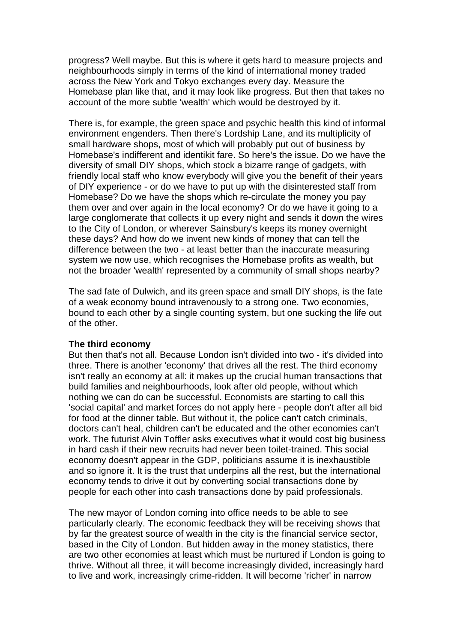progress? Well maybe. But this is where it gets hard to measure projects and neighbourhoods simply in terms of the kind of international money traded across the New York and Tokyo exchanges every day. Measure the Homebase plan like that, and it may look like progress. But then that takes no account of the more subtle 'wealth' which would be destroyed by it.

There is, for example, the green space and psychic health this kind of informal environment engenders. Then there's Lordship Lane, and its multiplicity of small hardware shops, most of which will probably put out of business by Homebase's indifferent and identikit fare. So here's the issue. Do we have the diversity of small DIY shops, which stock a bizarre range of gadgets, with friendly local staff who know everybody will give you the benefit of their years of DIY experience - or do we have to put up with the disinterested staff from Homebase? Do we have the shops which re-circulate the money you pay them over and over again in the local economy? Or do we have it going to a large conglomerate that collects it up every night and sends it down the wires to the City of London, or wherever Sainsbury's keeps its money overnight these days? And how do we invent new kinds of money that can tell the difference between the two - at least better than the inaccurate measuring system we now use, which recognises the Homebase profits as wealth, but not the broader 'wealth' represented by a community of small shops nearby?

The sad fate of Dulwich, and its green space and small DIY shops, is the fate of a weak economy bound intravenously to a strong one. Two economies, bound to each other by a single counting system, but one sucking the life out of the other.

#### **The third economy**

But then that's not all. Because London isn't divided into two - it's divided into three. There is another 'economy' that drives all the rest. The third economy isn't really an economy at all: it makes up the crucial human transactions that build families and neighbourhoods, look after old people, without which nothing we can do can be successful. Economists are starting to call this 'social capital' and market forces do not apply here - people don't after all bid for food at the dinner table. But without it, the police can't catch criminals, doctors can't heal, children can't be educated and the other economies can't work. The futurist Alvin Toffler asks executives what it would cost big business in hard cash if their new recruits had never been toilet-trained. This social economy doesn't appear in the GDP, politicians assume it is inexhaustible and so ignore it. It is the trust that underpins all the rest, but the international economy tends to drive it out by converting social transactions done by people for each other into cash transactions done by paid professionals.

The new mayor of London coming into office needs to be able to see particularly clearly. The economic feedback they will be receiving shows that by far the greatest source of wealth in the city is the financial service sector, based in the City of London. But hidden away in the money statistics, there are two other economies at least which must be nurtured if London is going to thrive. Without all three, it will become increasingly divided, increasingly hard to live and work, increasingly crime-ridden. It will become 'richer' in narrow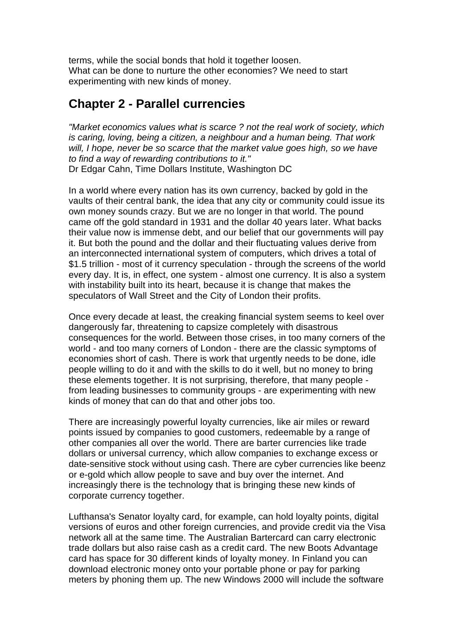terms, while the social bonds that hold it together loosen. What can be done to nurture the other economies? We need to start experimenting with new kinds of money.

### **Chapter 2 - Parallel currencies**

*"Market economics values what is scarce ? not the real work of society, which is caring, loving, being a citizen, a neighbour and a human being. That work*  will, I hope, never be so scarce that the market value goes high, so we have *to find a way of rewarding contributions to it."*  Dr Edgar Cahn, Time Dollars Institute, Washington DC

In a world where every nation has its own currency, backed by gold in the vaults of their central bank, the idea that any city or community could issue its own money sounds crazy. But we are no longer in that world. The pound came off the gold standard in 1931 and the dollar 40 years later. What backs their value now is immense debt, and our belief that our governments will pay it. But both the pound and the dollar and their fluctuating values derive from an interconnected international system of computers, which drives a total of \$1.5 trillion - most of it currency speculation - through the screens of the world every day. It is, in effect, one system - almost one currency. It is also a system with instability built into its heart, because it is change that makes the speculators of Wall Street and the City of London their profits.

Once every decade at least, the creaking financial system seems to keel over dangerously far, threatening to capsize completely with disastrous consequences for the world. Between those crises, in too many corners of the world - and too many corners of London - there are the classic symptoms of economies short of cash. There is work that urgently needs to be done, idle people willing to do it and with the skills to do it well, but no money to bring these elements together. It is not surprising, therefore, that many people from leading businesses to community groups - are experimenting with new kinds of money that can do that and other jobs too.

There are increasingly powerful loyalty currencies, like air miles or reward points issued by companies to good customers, redeemable by a range of other companies all over the world. There are barter currencies like trade dollars or universal currency, which allow companies to exchange excess or date-sensitive stock without using cash. There are cyber currencies like beenz or e-gold which allow people to save and buy over the internet. And increasingly there is the technology that is bringing these new kinds of corporate currency together.

Lufthansa's Senator loyalty card, for example, can hold loyalty points, digital versions of euros and other foreign currencies, and provide credit via the Visa network all at the same time. The Australian Bartercard can carry electronic trade dollars but also raise cash as a credit card. The new Boots Advantage card has space for 30 different kinds of loyalty money. In Finland you can download electronic money onto your portable phone or pay for parking meters by phoning them up. The new Windows 2000 will include the software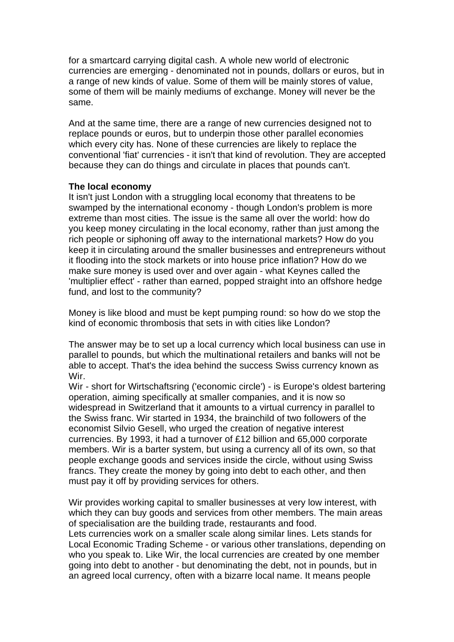for a smartcard carrying digital cash. A whole new world of electronic currencies are emerging - denominated not in pounds, dollars or euros, but in a range of new kinds of value. Some of them will be mainly stores of value, some of them will be mainly mediums of exchange. Money will never be the same.

And at the same time, there are a range of new currencies designed not to replace pounds or euros, but to underpin those other parallel economies which every city has. None of these currencies are likely to replace the conventional 'fiat' currencies - it isn't that kind of revolution. They are accepted because they can do things and circulate in places that pounds can't.

#### **The local economy**

It isn't just London with a struggling local economy that threatens to be swamped by the international economy - though London's problem is more extreme than most cities. The issue is the same all over the world: how do you keep money circulating in the local economy, rather than just among the rich people or siphoning off away to the international markets? How do you keep it in circulating around the smaller businesses and entrepreneurs without it flooding into the stock markets or into house price inflation? How do we make sure money is used over and over again - what Keynes called the 'multiplier effect' - rather than earned, popped straight into an offshore hedge fund, and lost to the community?

Money is like blood and must be kept pumping round: so how do we stop the kind of economic thrombosis that sets in with cities like London?

The answer may be to set up a local currency which local business can use in parallel to pounds, but which the multinational retailers and banks will not be able to accept. That's the idea behind the success Swiss currency known as Wir.

Wir - short for Wirtschaftsring ('economic circle') - is Europe's oldest bartering operation, aiming specifically at smaller companies, and it is now so widespread in Switzerland that it amounts to a virtual currency in parallel to the Swiss franc. Wir started in 1934, the brainchild of two followers of the economist Silvio Gesell, who urged the creation of negative interest currencies. By 1993, it had a turnover of £12 billion and 65,000 corporate members. Wir is a barter system, but using a currency all of its own, so that people exchange goods and services inside the circle, without using Swiss francs. They create the money by going into debt to each other, and then must pay it off by providing services for others.

Wir provides working capital to smaller businesses at very low interest, with which they can buy goods and services from other members. The main areas of specialisation are the building trade, restaurants and food. Lets currencies work on a smaller scale along similar lines. Lets stands for Local Economic Trading Scheme - or various other translations, depending on who you speak to. Like Wir, the local currencies are created by one member going into debt to another - but denominating the debt, not in pounds, but in an agreed local currency, often with a bizarre local name. It means people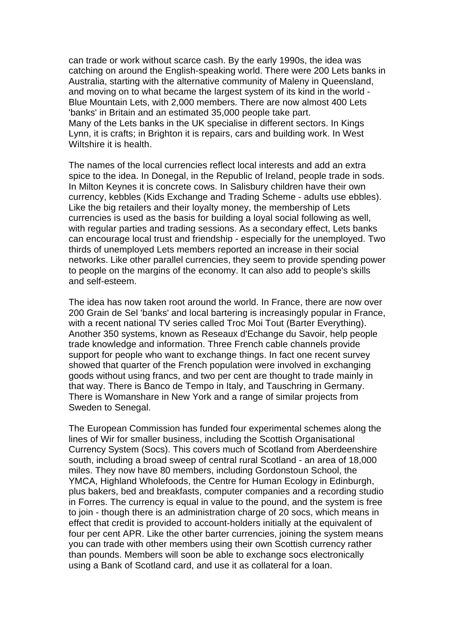can trade or work without scarce cash. By the early 1990s, the idea was catching on around the English-speaking world. There were 200 Lets banks in Australia, starting with the alternative community of Maleny in Queensland, and moving on to what became the largest system of its kind in the world - Blue Mountain Lets, with 2,000 members. There are now almost 400 Lets 'banks' in Britain and an estimated 35,000 people take part. Many of the Lets banks in the UK specialise in different sectors. In Kings Lynn, it is crafts; in Brighton it is repairs, cars and building work. In West Wiltshire it is health.

The names of the local currencies reflect local interests and add an extra spice to the idea. In Donegal, in the Republic of Ireland, people trade in sods. In Milton Keynes it is concrete cows. In Salisbury children have their own currency, kebbles (Kids Exchange and Trading Scheme - adults use ebbles). Like the big retailers and their loyalty money, the membership of Lets currencies is used as the basis for building a loyal social following as well, with regular parties and trading sessions. As a secondary effect, Lets banks can encourage local trust and friendship - especially for the unemployed. Two thirds of unemployed Lets members reported an increase in their social networks. Like other parallel currencies, they seem to provide spending power to people on the margins of the economy. It can also add to people's skills and self-esteem.

The idea has now taken root around the world. In France, there are now over 200 Grain de Sel 'banks' and local bartering is increasingly popular in France, with a recent national TV series called Troc Moi Tout (Barter Everything). Another 350 systems, known as Reseaux d'Echange du Savoir, help people trade knowledge and information. Three French cable channels provide support for people who want to exchange things. In fact one recent survey showed that quarter of the French population were involved in exchanging goods without using francs, and two per cent are thought to trade mainly in that way. There is Banco de Tempo in Italy, and Tauschring in Germany. There is Womanshare in New York and a range of similar projects from Sweden to Senegal.

The European Commission has funded four experimental schemes along the lines of Wir for smaller business, including the Scottish Organisational Currency System (Socs). This covers much of Scotland from Aberdeenshire south, including a broad sweep of central rural Scotland - an area of 18,000 miles. They now have 80 members, including Gordonstoun School, the YMCA, Highland Wholefoods, the Centre for Human Ecology in Edinburgh, plus bakers, bed and breakfasts, computer companies and a recording studio in Forres. The currency is equal in value to the pound, and the system is free to join - though there is an administration charge of 20 socs, which means in effect that credit is provided to account-holders initially at the equivalent of four per cent APR. Like the other barter currencies, joining the system means you can trade with other members using their own Scottish currency rather than pounds. Members will soon be able to exchange socs electronically using a Bank of Scotland card, and use it as collateral for a loan.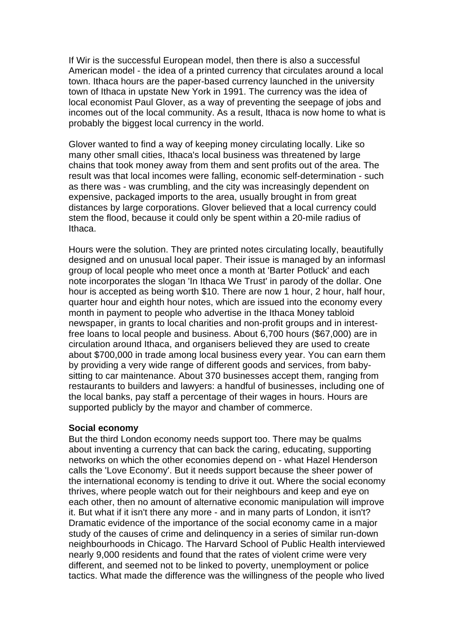If Wir is the successful European model, then there is also a successful American model - the idea of a printed currency that circulates around a local town. Ithaca hours are the paper-based currency launched in the university town of Ithaca in upstate New York in 1991. The currency was the idea of local economist Paul Glover, as a way of preventing the seepage of jobs and incomes out of the local community. As a result, Ithaca is now home to what is probably the biggest local currency in the world.

Glover wanted to find a way of keeping money circulating locally. Like so many other small cities, Ithaca's local business was threatened by large chains that took money away from them and sent profits out of the area. The result was that local incomes were falling, economic self-determination - such as there was - was crumbling, and the city was increasingly dependent on expensive, packaged imports to the area, usually brought in from great distances by large corporations. Glover believed that a local currency could stem the flood, because it could only be spent within a 20-mile radius of Ithaca.

Hours were the solution. They are printed notes circulating locally, beautifully designed and on unusual local paper. Their issue is managed by an informasl group of local people who meet once a month at 'Barter Potluck' and each note incorporates the slogan 'In Ithaca We Trust' in parody of the dollar. One hour is accepted as being worth \$10. There are now 1 hour, 2 hour, half hour, quarter hour and eighth hour notes, which are issued into the economy every month in payment to people who advertise in the Ithaca Money tabloid newspaper, in grants to local charities and non-profit groups and in interestfree loans to local people and business. About 6,700 hours (\$67,000) are in circulation around Ithaca, and organisers believed they are used to create about \$700,000 in trade among local business every year. You can earn them by providing a very wide range of different goods and services, from babysitting to car maintenance. About 370 businesses accept them, ranging from restaurants to builders and lawyers: a handful of businesses, including one of the local banks, pay staff a percentage of their wages in hours. Hours are supported publicly by the mayor and chamber of commerce.

#### **Social economy**

But the third London economy needs support too. There may be qualms about inventing a currency that can back the caring, educating, supporting networks on which the other economies depend on - what Hazel Henderson calls the 'Love Economy'. But it needs support because the sheer power of the international economy is tending to drive it out. Where the social economy thrives, where people watch out for their neighbours and keep and eye on each other, then no amount of alternative economic manipulation will improve it. But what if it isn't there any more - and in many parts of London, it isn't? Dramatic evidence of the importance of the social economy came in a major study of the causes of crime and delinquency in a series of similar run-down neighbourhoods in Chicago. The Harvard School of Public Health interviewed nearly 9,000 residents and found that the rates of violent crime were very different, and seemed not to be linked to poverty, unemployment or police tactics. What made the difference was the willingness of the people who lived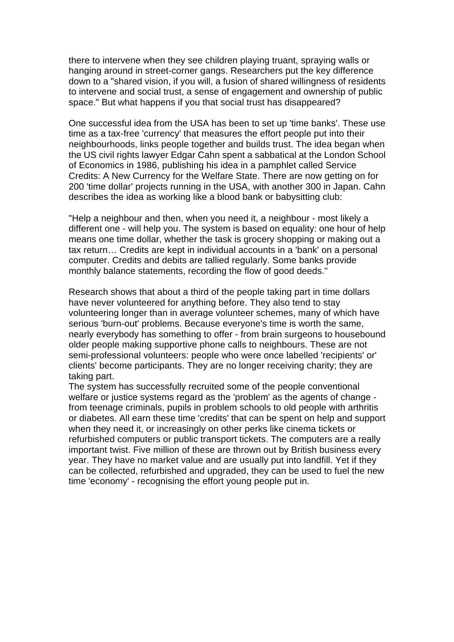there to intervene when they see children playing truant, spraying walls or hanging around in street-corner gangs. Researchers put the key difference down to a "shared vision, if you will, a fusion of shared willingness of residents to intervene and social trust, a sense of engagement and ownership of public space." But what happens if you that social trust has disappeared?

One successful idea from the USA has been to set up 'time banks'. These use time as a tax-free 'currency' that measures the effort people put into their neighbourhoods, links people together and builds trust. The idea began when the US civil rights lawyer Edgar Cahn spent a sabbatical at the London School of Economics in 1986, publishing his idea in a pamphlet called Service Credits: A New Currency for the Welfare State. There are now getting on for 200 'time dollar' projects running in the USA, with another 300 in Japan. Cahn describes the idea as working like a blood bank or babysitting club:

"Help a neighbour and then, when you need it, a neighbour - most likely a different one - will help you. The system is based on equality: one hour of help means one time dollar, whether the task is grocery shopping or making out a tax return… Credits are kept in individual accounts in a 'bank' on a personal computer. Credits and debits are tallied regularly. Some banks provide monthly balance statements, recording the flow of good deeds."

Research shows that about a third of the people taking part in time dollars have never volunteered for anything before. They also tend to stay volunteering longer than in average volunteer schemes, many of which have serious 'burn-out' problems. Because everyone's time is worth the same, nearly everybody has something to offer - from brain surgeons to housebound older people making supportive phone calls to neighbours. These are not semi-professional volunteers: people who were once labelled 'recipients' or' clients' become participants. They are no longer receiving charity; they are taking part.

The system has successfully recruited some of the people conventional welfare or justice systems regard as the 'problem' as the agents of change from teenage criminals, pupils in problem schools to old people with arthritis or diabetes. All earn these time 'credits' that can be spent on help and support when they need it, or increasingly on other perks like cinema tickets or refurbished computers or public transport tickets. The computers are a really important twist. Five million of these are thrown out by British business every year. They have no market value and are usually put into landfill. Yet if they can be collected, refurbished and upgraded, they can be used to fuel the new time 'economy' - recognising the effort young people put in.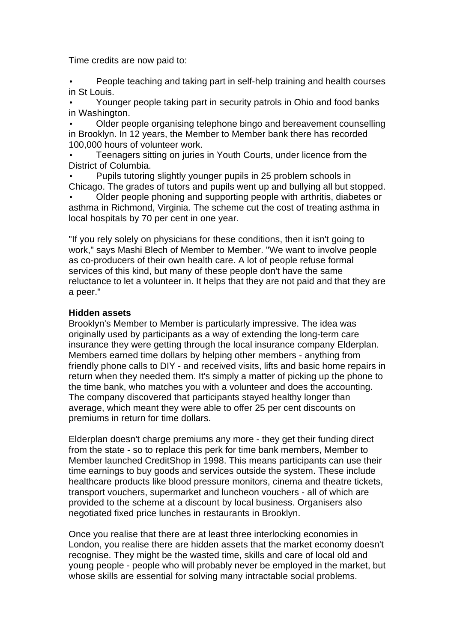Time credits are now paid to:

• People teaching and taking part in self-help training and health courses in St Louis.

• Younger people taking part in security patrols in Ohio and food banks in Washington.

• Older people organising telephone bingo and bereavement counselling in Brooklyn. In 12 years, the Member to Member bank there has recorded 100,000 hours of volunteer work.

• Teenagers sitting on juries in Youth Courts, under licence from the District of Columbia.

• Pupils tutoring slightly younger pupils in 25 problem schools in Chicago. The grades of tutors and pupils went up and bullying all but stopped.

• Older people phoning and supporting people with arthritis, diabetes or asthma in Richmond, Virginia. The scheme cut the cost of treating asthma in local hospitals by 70 per cent in one year.

"If you rely solely on physicians for these conditions, then it isn't going to work," says Mashi Blech of Member to Member. "We want to involve people as co-producers of their own health care. A lot of people refuse formal services of this kind, but many of these people don't have the same reluctance to let a volunteer in. It helps that they are not paid and that they are a peer."

#### **Hidden assets**

Brooklyn's Member to Member is particularly impressive. The idea was originally used by participants as a way of extending the long-term care insurance they were getting through the local insurance company Elderplan. Members earned time dollars by helping other members - anything from friendly phone calls to DIY - and received visits, lifts and basic home repairs in return when they needed them. It's simply a matter of picking up the phone to the time bank, who matches you with a volunteer and does the accounting. The company discovered that participants stayed healthy longer than average, which meant they were able to offer 25 per cent discounts on premiums in return for time dollars.

Elderplan doesn't charge premiums any more - they get their funding direct from the state - so to replace this perk for time bank members, Member to Member launched CreditShop in 1998. This means participants can use their time earnings to buy goods and services outside the system. These include healthcare products like blood pressure monitors, cinema and theatre tickets, transport vouchers, supermarket and luncheon vouchers - all of which are provided to the scheme at a discount by local business. Organisers also negotiated fixed price lunches in restaurants in Brooklyn.

Once you realise that there are at least three interlocking economies in London, you realise there are hidden assets that the market economy doesn't recognise. They might be the wasted time, skills and care of local old and young people - people who will probably never be employed in the market, but whose skills are essential for solving many intractable social problems.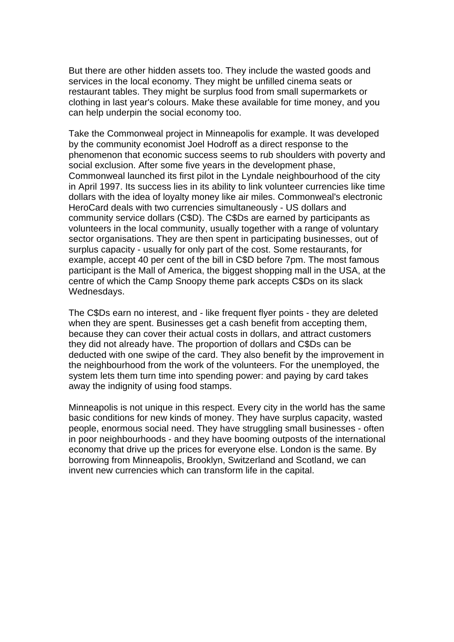But there are other hidden assets too. They include the wasted goods and services in the local economy. They might be unfilled cinema seats or restaurant tables. They might be surplus food from small supermarkets or clothing in last year's colours. Make these available for time money, and you can help underpin the social economy too.

Take the Commonweal project in Minneapolis for example. It was developed by the community economist Joel Hodroff as a direct response to the phenomenon that economic success seems to rub shoulders with poverty and social exclusion. After some five years in the development phase, Commonweal launched its first pilot in the Lyndale neighbourhood of the city in April 1997. Its success lies in its ability to link volunteer currencies like time dollars with the idea of loyalty money like air miles. Commonweal's electronic HeroCard deals with two currencies simultaneously - US dollars and community service dollars (C\$D). The C\$Ds are earned by participants as volunteers in the local community, usually together with a range of voluntary sector organisations. They are then spent in participating businesses, out of surplus capacity - usually for only part of the cost. Some restaurants, for example, accept 40 per cent of the bill in C\$D before 7pm. The most famous participant is the Mall of America, the biggest shopping mall in the USA, at the centre of which the Camp Snoopy theme park accepts C\$Ds on its slack Wednesdays.

The C\$Ds earn no interest, and - like frequent flyer points - they are deleted when they are spent. Businesses get a cash benefit from accepting them, because they can cover their actual costs in dollars, and attract customers they did not already have. The proportion of dollars and C\$Ds can be deducted with one swipe of the card. They also benefit by the improvement in the neighbourhood from the work of the volunteers. For the unemployed, the system lets them turn time into spending power: and paying by card takes away the indignity of using food stamps.

Minneapolis is not unique in this respect. Every city in the world has the same basic conditions for new kinds of money. They have surplus capacity, wasted people, enormous social need. They have struggling small businesses - often in poor neighbourhoods - and they have booming outposts of the international economy that drive up the prices for everyone else. London is the same. By borrowing from Minneapolis, Brooklyn, Switzerland and Scotland, we can invent new currencies which can transform life in the capital.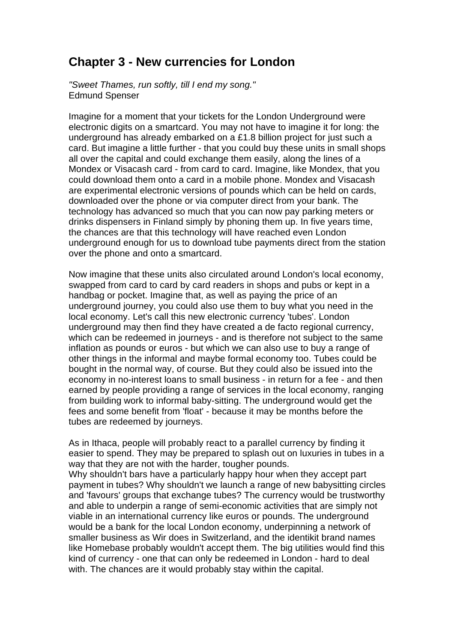### **Chapter 3 - New currencies for London**

*"Sweet Thames, run softly, till I end my song."* Edmund Spenser

Imagine for a moment that your tickets for the London Underground were electronic digits on a smartcard. You may not have to imagine it for long: the underground has already embarked on a £1.8 billion project for just such a card. But imagine a little further - that you could buy these units in small shops all over the capital and could exchange them easily, along the lines of a Mondex or Visacash card - from card to card. Imagine, like Mondex, that you could download them onto a card in a mobile phone. Mondex and Visacash are experimental electronic versions of pounds which can be held on cards, downloaded over the phone or via computer direct from your bank. The technology has advanced so much that you can now pay parking meters or drinks dispensers in Finland simply by phoning them up. In five years time, the chances are that this technology will have reached even London underground enough for us to download tube payments direct from the station over the phone and onto a smartcard.

Now imagine that these units also circulated around London's local economy, swapped from card to card by card readers in shops and pubs or kept in a handbag or pocket. Imagine that, as well as paying the price of an underground journey, you could also use them to buy what you need in the local economy. Let's call this new electronic currency 'tubes'. London underground may then find they have created a de facto regional currency, which can be redeemed in journeys - and is therefore not subject to the same inflation as pounds or euros - but which we can also use to buy a range of other things in the informal and maybe formal economy too. Tubes could be bought in the normal way, of course. But they could also be issued into the economy in no-interest loans to small business - in return for a fee - and then earned by people providing a range of services in the local economy, ranging from building work to informal baby-sitting. The underground would get the fees and some benefit from 'float' - because it may be months before the tubes are redeemed by journeys.

As in Ithaca, people will probably react to a parallel currency by finding it easier to spend. They may be prepared to splash out on luxuries in tubes in a way that they are not with the harder, tougher pounds.

Why shouldn't bars have a particularly happy hour when they accept part payment in tubes? Why shouldn't we launch a range of new babysitting circles and 'favours' groups that exchange tubes? The currency would be trustworthy and able to underpin a range of semi-economic activities that are simply not viable in an international currency like euros or pounds. The underground would be a bank for the local London economy, underpinning a network of smaller business as Wir does in Switzerland, and the identikit brand names like Homebase probably wouldn't accept them. The big utilities would find this kind of currency - one that can only be redeemed in London - hard to deal with. The chances are it would probably stay within the capital.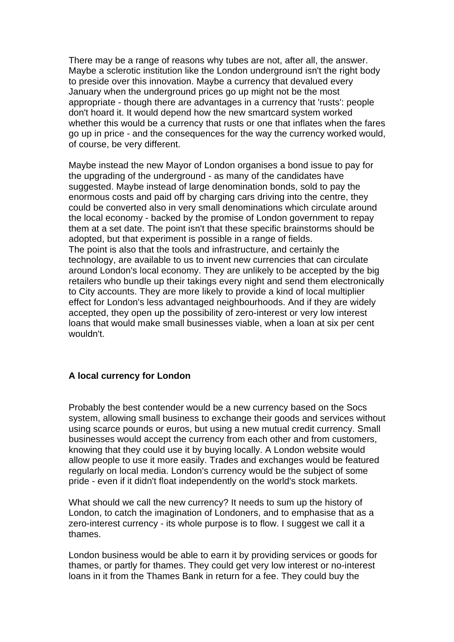There may be a range of reasons why tubes are not, after all, the answer. Maybe a sclerotic institution like the London underground isn't the right body to preside over this innovation. Maybe a currency that devalued every January when the underground prices go up might not be the most appropriate - though there are advantages in a currency that 'rusts': people don't hoard it. It would depend how the new smartcard system worked whether this would be a currency that rusts or one that inflates when the fares go up in price - and the consequences for the way the currency worked would, of course, be very different.

Maybe instead the new Mayor of London organises a bond issue to pay for the upgrading of the underground - as many of the candidates have suggested. Maybe instead of large denomination bonds, sold to pay the enormous costs and paid off by charging cars driving into the centre, they could be converted also in very small denominations which circulate around the local economy - backed by the promise of London government to repay them at a set date. The point isn't that these specific brainstorms should be adopted, but that experiment is possible in a range of fields. The point is also that the tools and infrastructure, and certainly the technology, are available to us to invent new currencies that can circulate around London's local economy. They are unlikely to be accepted by the big retailers who bundle up their takings every night and send them electronically to City accounts. They are more likely to provide a kind of local multiplier effect for London's less advantaged neighbourhoods. And if they are widely accepted, they open up the possibility of zero-interest or very low interest loans that would make small businesses viable, when a loan at six per cent wouldn't.

#### **A local currency for London**

Probably the best contender would be a new currency based on the Socs system, allowing small business to exchange their goods and services without using scarce pounds or euros, but using a new mutual credit currency. Small businesses would accept the currency from each other and from customers, knowing that they could use it by buying locally. A London website would allow people to use it more easily. Trades and exchanges would be featured regularly on local media. London's currency would be the subject of some pride - even if it didn't float independently on the world's stock markets.

What should we call the new currency? It needs to sum up the history of London, to catch the imagination of Londoners, and to emphasise that as a zero-interest currency - its whole purpose is to flow. I suggest we call it a thames.

London business would be able to earn it by providing services or goods for thames, or partly for thames. They could get very low interest or no-interest loans in it from the Thames Bank in return for a fee. They could buy the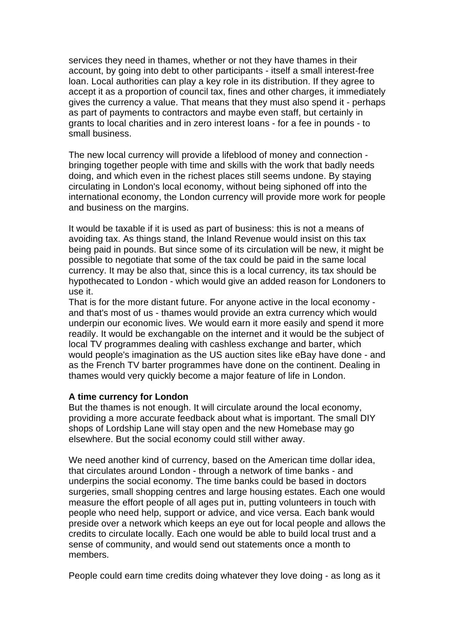services they need in thames, whether or not they have thames in their account, by going into debt to other participants - itself a small interest-free loan. Local authorities can play a key role in its distribution. If they agree to accept it as a proportion of council tax, fines and other charges, it immediately gives the currency a value. That means that they must also spend it - perhaps as part of payments to contractors and maybe even staff, but certainly in grants to local charities and in zero interest loans - for a fee in pounds - to small business.

The new local currency will provide a lifeblood of money and connection bringing together people with time and skills with the work that badly needs doing, and which even in the richest places still seems undone. By staying circulating in London's local economy, without being siphoned off into the international economy, the London currency will provide more work for people and business on the margins.

It would be taxable if it is used as part of business: this is not a means of avoiding tax. As things stand, the Inland Revenue would insist on this tax being paid in pounds. But since some of its circulation will be new, it might be possible to negotiate that some of the tax could be paid in the same local currency. It may be also that, since this is a local currency, its tax should be hypothecated to London - which would give an added reason for Londoners to use it.

That is for the more distant future. For anyone active in the local economy and that's most of us - thames would provide an extra currency which would underpin our economic lives. We would earn it more easily and spend it more readily. It would be exchangable on the internet and it would be the subject of local TV programmes dealing with cashless exchange and barter, which would people's imagination as the US auction sites like eBay have done - and as the French TV barter programmes have done on the continent. Dealing in thames would very quickly become a major feature of life in London.

#### **A time currency for London**

But the thames is not enough. It will circulate around the local economy, providing a more accurate feedback about what is important. The small DIY shops of Lordship Lane will stay open and the new Homebase may go elsewhere. But the social economy could still wither away.

We need another kind of currency, based on the American time dollar idea, that circulates around London - through a network of time banks - and underpins the social economy. The time banks could be based in doctors surgeries, small shopping centres and large housing estates. Each one would measure the effort people of all ages put in, putting volunteers in touch with people who need help, support or advice, and vice versa. Each bank would preside over a network which keeps an eye out for local people and allows the credits to circulate locally. Each one would be able to build local trust and a sense of community, and would send out statements once a month to members.

People could earn time credits doing whatever they love doing - as long as it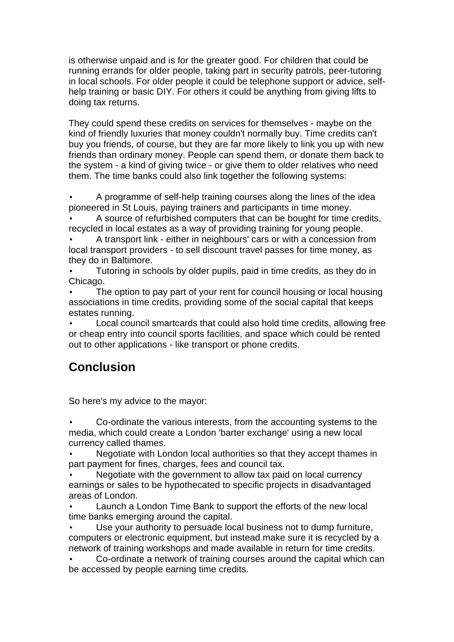is otherwise unpaid and is for the greater good. For children that could be running errands for older people, taking part in security patrols, peer-tutoring in local schools. For older people it could be telephone support or advice, selfhelp training or basic DIY. For others it could be anything from giving lifts to doing tax returns.

They could spend these credits on services for themselves - maybe on the kind of friendly luxuries that money couldn't normally buy. Time credits can't buy you friends, of course, but they are far more likely to link you up with new friends than ordinary money. People can spend them, or donate them back to the system - a kind of giving twice - or give them to older relatives who need them. The time banks could also link together the following systems:

• A programme of self-help training courses along the lines of the idea pioneered in St Louis, paying trainers and participants in time money.

• A source of refurbished computers that can be bought for time credits, recycled in local estates as a way of providing training for young people.

• A transport link - either in neighbours' cars or with a concession from local transport providers - to sell discount travel passes for time money, as they do in Baltimore.

• Tutoring in schools by older pupils, paid in time credits, as they do in Chicago.

The option to pay part of your rent for council housing or local housing associations in time credits, providing some of the social capital that keeps estates running.

• Local council smartcards that could also hold time credits, allowing free or cheap entry into council sports facilities, and space which could be rented out to other applications - like transport or phone credits.

# **Conclusion**

So here's my advice to the mayor:

• Co-ordinate the various interests, from the accounting systems to the media, which could create a London 'barter exchange' using a new local currency called thames.

• Negotiate with London local authorities so that they accept thames in part payment for fines, charges, fees and council tax.

Negotiate with the government to allow tax paid on local currency earnings or sales to be hypothecated to specific projects in disadvantaged areas of London.

• Launch a London Time Bank to support the efforts of the new local time banks emerging around the capital.

Use your authority to persuade local business not to dump furniture, computers or electronic equipment, but instead make sure it is recycled by a network of training workshops and made available in return for time credits.

• Co-ordinate a network of training courses around the capital which can be accessed by people earning time credits.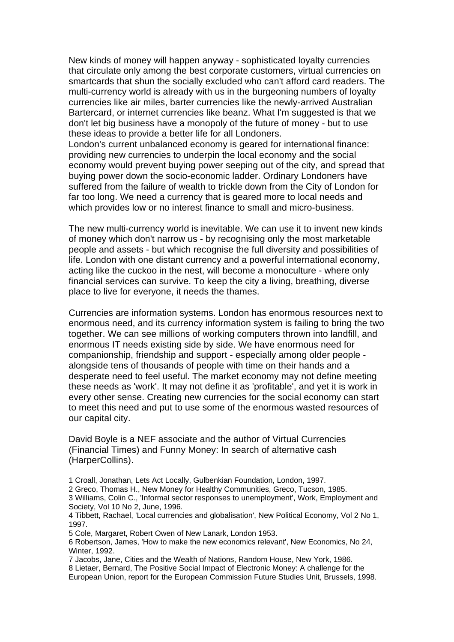New kinds of money will happen anyway - sophisticated loyalty currencies that circulate only among the best corporate customers, virtual currencies on smartcards that shun the socially excluded who can't afford card readers. The multi-currency world is already with us in the burgeoning numbers of loyalty currencies like air miles, barter currencies like the newly-arrived Australian Bartercard, or internet currencies like beanz. What I'm suggested is that we don't let big business have a monopoly of the future of money - but to use these ideas to provide a better life for all Londoners.

London's current unbalanced economy is geared for international finance: providing new currencies to underpin the local economy and the social economy would prevent buying power seeping out of the city, and spread that buying power down the socio-economic ladder. Ordinary Londoners have suffered from the failure of wealth to trickle down from the City of London for far too long. We need a currency that is geared more to local needs and which provides low or no interest finance to small and micro-business.

The new multi-currency world is inevitable. We can use it to invent new kinds of money which don't narrow us - by recognising only the most marketable people and assets - but which recognise the full diversity and possibilities of life. London with one distant currency and a powerful international economy, acting like the cuckoo in the nest, will become a monoculture - where only financial services can survive. To keep the city a living, breathing, diverse place to live for everyone, it needs the thames.

Currencies are information systems. London has enormous resources next to enormous need, and its currency information system is failing to bring the two together. We can see millions of working computers thrown into landfill, and enormous IT needs existing side by side. We have enormous need for companionship, friendship and support - especially among older people alongside tens of thousands of people with time on their hands and a desperate need to feel useful. The market economy may not define meeting these needs as 'work'. It may not define it as 'profitable', and yet it is work in every other sense. Creating new currencies for the social economy can start to meet this need and put to use some of the enormous wasted resources of our capital city.

David Boyle is a NEF associate and the author of Virtual Currencies (Financial Times) and Funny Money: In search of alternative cash (HarperCollins).

1 Croall, Jonathan, Lets Act Locally, Gulbenkian Foundation, London, 1997.

2 Greco, Thomas H., New Money for Healthy Communities, Greco, Tucson, 1985.

3 Williams, Colin C., 'Informal sector responses to unemployment', Work, Employment and Society, Vol 10 No 2, June, 1996.

4 Tibbett, Rachael, 'Local currencies and globalisation', New Political Economy, Vol 2 No 1, 1997.

5 Cole, Margaret, Robert Owen of New Lanark, London 1953.

6 Robertson, James, 'How to make the new economics relevant', New Economics, No 24, Winter, 1992.

7 Jacobs, Jane, Cities and the Wealth of Nations, Random House, New York, 1986.

8 Lietaer, Bernard, The Positive Social Impact of Electronic Money: A challenge for the European Union, report for the European Commission Future Studies Unit, Brussels, 1998.